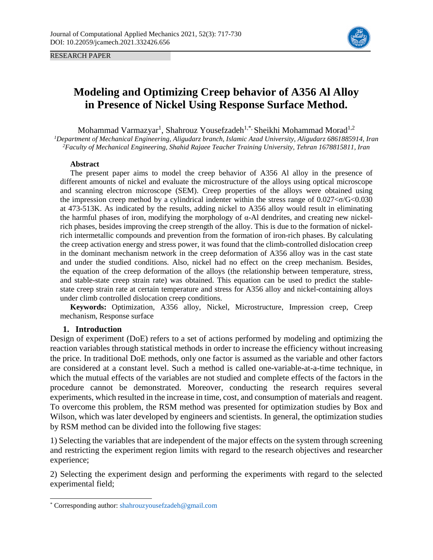RESEARCH PAPER



# **Modeling and Optimizing Creep behavior of A356 Al Alloy in Presence of Nickel Using Response Surface Method.**

Mohammad Varmazyar<sup>1</sup>, Shahrouz Yousefzadeh<sup>1,\*,</sup> Sheikhi Mohammad Morad<sup>1,2</sup> *<sup>1</sup>Department of Mechanical Engineering, Aligudarz branch, Islamic Azad University, Aligudarz 6861885914, Iran <sup>2</sup>Faculty of Mechanical Engineering, Shahid Rajaee Teacher Training University, Tehran 1678815811, Iran* 

### **Abstract**

The present paper aims to model the creep behavior of A356 Al alloy in the presence of different amounts of nickel and evaluate the microstructure of the alloys using optical microscope and scanning electron microscope (SEM). Creep properties of the alloys were obtained using the impression creep method by a cylindrical indenter within the stress range of  $0.027 < \sigma/G < 0.030$ at 473-513K. As indicated by the results, adding nickel to A356 alloy would result in eliminating the harmful phases of iron, modifying the morphology of α-Al dendrites, and creating new nickelrich phases, besides improving the creep strength of the alloy. This is due to the formation of nickelrich intermetallic compounds and prevention from the formation of iron-rich phases. By calculating the creep activation energy and stress power, it was found that the climb-controlled dislocation creep in the dominant mechanism network in the creep deformation of A356 alloy was in the cast state and under the studied conditions. Also, nickel had no effect on the creep mechanism. Besides, the equation of the creep deformation of the alloys (the relationship between temperature, stress, and stable-state creep strain rate) was obtained. This equation can be used to predict the stablestate creep strain rate at certain temperature and stress for A356 alloy and nickel-containing alloys under climb controlled dislocation creep conditions.

**Keywords:** Optimization, A356 alloy, Nickel, Microstructure, Impression creep, Creep mechanism, Response surface

### **1. Introduction**

 $\overline{a}$ 

Design of experiment (DoE) refers to a set of actions performed by modeling and optimizing the reaction variables through statistical methods in order to increase the efficiency without increasing the price. In traditional DoE methods, only one factor is assumed as the variable and other factors are considered at a constant level. Such a method is called one-variable-at-a-time technique, in which the mutual effects of the variables are not studied and complete effects of the factors in the procedure cannot be demonstrated. Moreover, conducting the research requires several experiments, which resulted in the increase in time, cost, and consumption of materials and reagent. To overcome this problem, the RSM method was presented for optimization studies by Box and Wilson, which was later developed by engineers and scientists. In general, the optimization studies by RSM method can be divided into the following five stages:

1) Selecting the variables that are independent of the major effects on the system through screening and restricting the experiment region limits with regard to the research objectives and researcher experience;

2) Selecting the experiment design and performing the experiments with regard to the selected experimental field;

<sup>\*</sup> Corresponding author: shahrouzyousefzadeh@gmail.com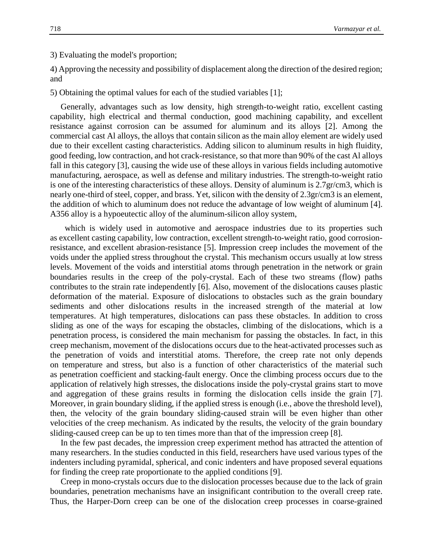3) Evaluating the model's proportion;

4) Approving the necessity and possibility of displacement along the direction of the desired region; and

5) Obtaining the optimal values for each of the studied variables [1];

Generally, advantages such as low density, high strength-to-weight ratio, excellent casting capability, high electrical and thermal conduction, good machining capability, and excellent resistance against corrosion can be assumed for aluminum and its alloys [2]. Among the commercial cast Al alloys, the alloys that contain silicon as the main alloy element are widely used due to their excellent casting characteristics. Adding silicon to aluminum results in high fluidity, good feeding, low contraction, and hot crack-resistance, so that more than 90% of the cast Al alloys fall in this category [3], causing the wide use of these alloys in various fields including automotive manufacturing, aerospace, as well as defense and military industries. The strength-to-weight ratio is one of the interesting characteristics of these alloys. Density of aluminum is 2.7gr/cm3, which is nearly one-third of steel, copper, and brass. Yet, silicon with the density of 2.3gr/cm3 is an element, the addition of which to aluminum does not reduce the advantage of low weight of aluminum [4]. A356 alloy is a hypoeutectic alloy of the aluminum-silicon alloy system,

 which is widely used in automotive and aerospace industries due to its properties such as excellent casting capability, low contraction, excellent strength-to-weight ratio, good corrosionresistance, and excellent abrasion-resistance [5]. Impression creep includes the movement of the voids under the applied stress throughout the crystal. This mechanism occurs usually at low stress levels. Movement of the voids and interstitial atoms through penetration in the network or grain boundaries results in the creep of the poly-crystal. Each of these two streams (flow) paths contributes to the strain rate independently [6]. Also, movement of the dislocations causes plastic deformation of the material. Exposure of dislocations to obstacles such as the grain boundary sediments and other dislocations results in the increased strength of the material at low temperatures. At high temperatures, dislocations can pass these obstacles. In addition to cross sliding as one of the ways for escaping the obstacles, climbing of the dislocations, which is a penetration process, is considered the main mechanism for passing the obstacles. In fact, in this creep mechanism, movement of the dislocations occurs due to the heat-activated processes such as the penetration of voids and interstitial atoms. Therefore, the creep rate not only depends on temperature and stress, but also is a function of other characteristics of the material such as penetration coefficient and stacking-fault energy. Once the climbing process occurs due to the application of relatively high stresses, the dislocations inside the poly-crystal grains start to move and aggregation of these grains results in forming the dislocation cells inside the grain [7]. Moreover, in grain boundary sliding, if the applied stress is enough (i.e., above the threshold level), then, the velocity of the grain boundary sliding-caused strain will be even higher than other velocities of the creep mechanism. As indicated by the results, the velocity of the grain boundary sliding-caused creep can be up to ten times more than that of the impression creep [8].

In the few past decades, the impression creep experiment method has attracted the attention of many researchers. In the studies conducted in this field, researchers have used various types of the indenters including pyramidal, spherical, and conic indenters and have proposed several equations for finding the creep rate proportionate to the applied conditions [9].

Creep in mono-crystals occurs due to the dislocation processes because due to the lack of grain boundaries, penetration mechanisms have an insignificant contribution to the overall creep rate. Thus, the Harper-Dorn creep can be one of the dislocation creep processes in coarse-grained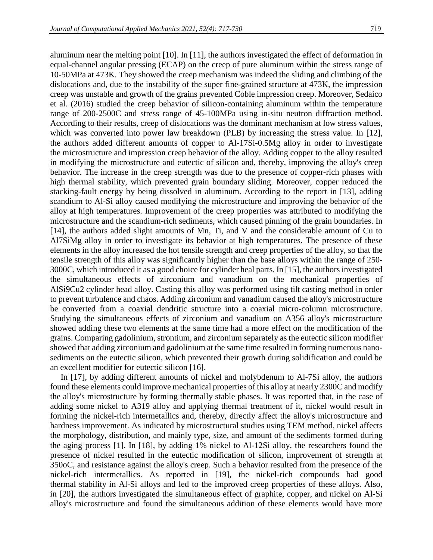aluminum near the melting point [10]. In [11], the authors investigated the effect of deformation in equal-channel angular pressing (ECAP) on the creep of pure aluminum within the stress range of 10-50MPa at 473K. They showed the creep mechanism was indeed the sliding and climbing of the dislocations and, due to the instability of the super fine-grained structure at 473K, the impression creep was unstable and growth of the grains prevented Coble impression creep. Moreover, Sedaico et al. (2016) studied the creep behavior of silicon-containing aluminum within the temperature range of 200-2500C and stress range of 45-100MPa using in-situ neutron diffraction method. According to their results, creep of dislocations was the dominant mechanism at low stress values, which was converted into power law breakdown (PLB) by increasing the stress value. In [12], the authors added different amounts of copper to Al-17Si-0.5Mg alloy in order to investigate the microstructure and impression creep behavior of the alloy. Adding copper to the alloy resulted in modifying the microstructure and eutectic of silicon and, thereby, improving the alloy's creep behavior. The increase in the creep strength was due to the presence of copper-rich phases with high thermal stability, which prevented grain boundary sliding. Moreover, copper reduced the stacking-fault energy by being dissolved in aluminum. According to the report in [13], adding scandium to Al-Si alloy caused modifying the microstructure and improving the behavior of the alloy at high temperatures. Improvement of the creep properties was attributed to modifying the microstructure and the scandium-rich sediments, which caused pinning of the grain boundaries. In [14], the authors added slight amounts of Mn, Ti, and V and the considerable amount of Cu to Al7SiMg alloy in order to investigate its behavior at high temperatures. The presence of these elements in the alloy increased the hot tensile strength and creep properties of the alloy, so that the tensile strength of this alloy was significantly higher than the base alloys within the range of 250- 3000C, which introduced it as a good choice for cylinder heal parts. In [15], the authors investigated the simultaneous effects of zirconium and vanadium on the mechanical properties of AlSi9Cu2 cylinder head alloy. Casting this alloy was performed using tilt casting method in order to prevent turbulence and chaos. Adding zirconium and vanadium caused the alloy's microstructure be converted from a coaxial dendritic structure into a coaxial micro-column microstructure. Studying the simultaneous effects of zirconium and vanadium on A356 alloy's microstructure showed adding these two elements at the same time had a more effect on the modification of the grains. Comparing gadolinium, strontium, and zirconium separately as the eutectic silicon modifier showed that adding zirconium and gadolinium at the same time resulted in forming numerous nanosediments on the eutectic silicon, which prevented their growth during solidification and could be an excellent modifier for eutectic silicon [16].

In [17], by adding different amounts of nickel and molybdenum to Al-7Si alloy, the authors found these elements could improve mechanical properties of this alloy at nearly 2300C and modify the alloy's microstructure by forming thermally stable phases. It was reported that, in the case of adding some nickel to A319 alloy and applying thermal treatment of it, nickel would result in forming the nickel-rich intermetallics and, thereby, directly affect the alloy's microstructure and hardness improvement. As indicated by microstructural studies using TEM method, nickel affects the morphology, distribution, and mainly type, size, and amount of the sediments formed during the aging process [1]. In [18], by adding 1% nickel to Al-12Si alloy, the researchers found the presence of nickel resulted in the eutectic modification of silicon, improvement of strength at 350oC, and resistance against the alloy's creep. Such a behavior resulted from the presence of the nickel-rich intermetallics. As reported in [19], the nickel-rich compounds had good thermal stability in Al-Si alloys and led to the improved creep properties of these alloys. Also, in [20], the authors investigated the simultaneous effect of graphite, copper, and nickel on Al-Si alloy's microstructure and found the simultaneous addition of these elements would have more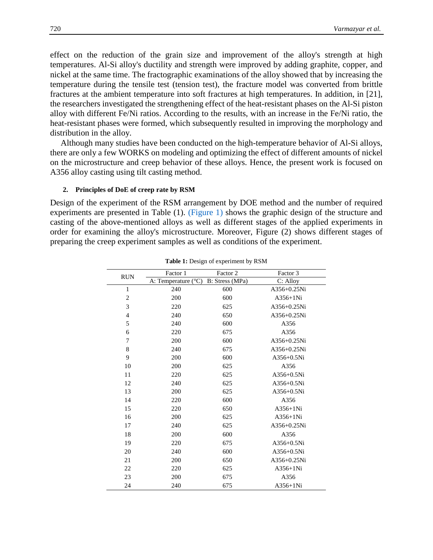effect on the reduction of the grain size and improvement of the alloy's strength at high temperatures. Al-Si alloy's ductility and strength were improved by adding graphite, copper, and nickel at the same time. The fractographic examinations of the alloy showed that by increasing the temperature during the tensile test (tension test), the fracture model was converted from brittle fractures at the ambient temperature into soft fractures at high temperatures. In addition, in [21], the researchers investigated the strengthening effect of the heat-resistant phases on the Al-Si piston alloy with different Fe/Ni ratios. According to the results, with an increase in the Fe/Ni ratio, the heat-resistant phases were formed, which subsequently resulted in improving the morphology and distribution in the alloy.

Although many studies have been conducted on the high-temperature behavior of Al-Si alloys, there are only a few WORKS on modeling and optimizing the effect of different amounts of nickel on the microstructure and creep behavior of these alloys. Hence, the present work is focused on A356 alloy casting using tilt casting method.

#### **2. Principles of DoE of creep rate by RSM**

Design of the experiment of the RSM arrangement by DOE method and the number of required experiments are presented in Table (1). (Figure 1) shows the graphic design of the structure and casting of the above-mentioned alloys as well as different stages of the applied experiments in order for examining the alloy's microstructure. Moreover, Figure (2) shows different stages of preparing the creep experiment samples as well as conditions of the experiment.

| <b>RUN</b>     | Factor 1                     | Factor 2        | Factor 3      |
|----------------|------------------------------|-----------------|---------------|
|                | A: Temperature $(^{\circ}C)$ | B: Stress (MPa) | C: Alloy      |
| $\mathbf{1}$   | 240                          | 600             | $A356+0.25Ni$ |
| $\overline{c}$ | 200                          | 600             | $A356+1Ni$    |
| 3              | 220                          | 625             | $A356+0.25Ni$ |
| $\overline{4}$ | 240                          | 650             | A356+0.25Ni   |
| 5              | 240                          | 600             | A356          |
| 6              | 220                          | 675             | A356          |
| $\overline{7}$ | 200                          | 600             | $A356+0.25Ni$ |
| 8              | 240                          | 675             | $A356+0.25Ni$ |
| 9              | 200                          | 600             | $A356+0.5Ni$  |
| 10             | 200                          | 625             | A356          |
| 11             | 220                          | 625             | $A356+0.5Ni$  |
| 12             | 240                          | 625             | $A356+0.5Ni$  |
| 13             | 200                          | 625             | $A356+0.5Ni$  |
| 14             | 220                          | 600             | A356          |
| 15             | 220                          | 650             | $A356+1Ni$    |
| 16             | 200                          | 625             | $A356+1Ni$    |
| 17             | 240                          | 625             | $A356+0.25Ni$ |
| 18             | 200                          | 600             | A356          |
| 19             | 220                          | 675             | $A356+0.5Ni$  |
| 20             | 240                          | 600             | $A356+0.5Ni$  |
| 21             | 200                          | 650             | $A356+0.25Ni$ |
| 22             | 220                          | 625             | $A356+1Ni$    |
| 23             | 200                          | 675             | A356          |
| 24             | 240                          | 675             | $A356+1Ni$    |

**Table 1:** Design of experiment by RSM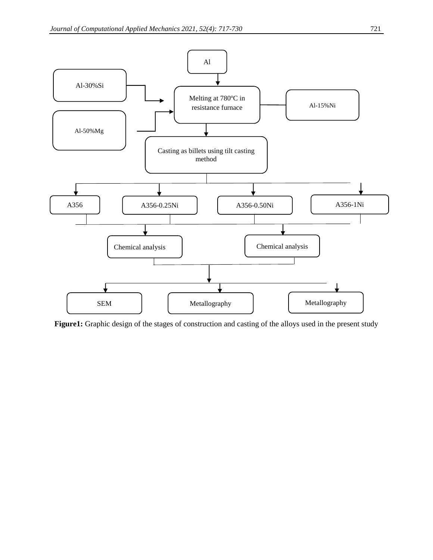

**Figure1:** Graphic design of the stages of construction and casting of the alloys used in the present study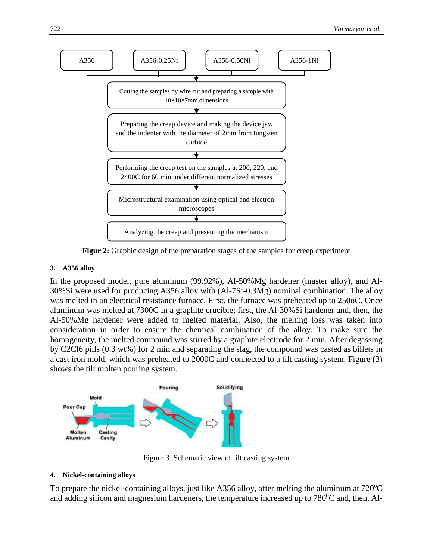

**Figur 2:** Graphic design of the preparation stages of the samples for creep experiment

# **3. A356 alloy**

In the proposed model, pure aluminum (99.92%), Al-50%Mg hardener (master alloy), and Al-30%Si were used for producing A356 alloy with (Al-7Si-0.3Mg) nominal combination. The alloy was melted in an electrical resistance furnace. First, the furnace was preheated up to 250oC. Once aluminum was melted at 7300C in a graphite crucible; first, the Al-30%Si hardener and, then, the Al-50%Mg hardener were added to melted material. Also, the melting loss was taken into consideration in order to ensure the chemical combination of the alloy. To make sure the homogeneity, the melted compound was stirred by a graphite electrode for 2 min. After degassing by C2Cl6 pills (0.3 wt%) for 2 min and separating the slag, the compound was casted as billets in a cast iron mold, which was preheated to 2000C and connected to a tilt casting system. Figure (3) shows the tilt molten pouring system.



Figure 3. Schematic view of tilt casting system

## **4. Nickel-containing alloys**

To prepare the nickel-containing alloys, just like A356 alloy, after melting the aluminum at  $720^{\circ}$ C and adding silicon and magnesium hardeners, the temperature increased up to  $780^{\circ}$ C and, then, Al-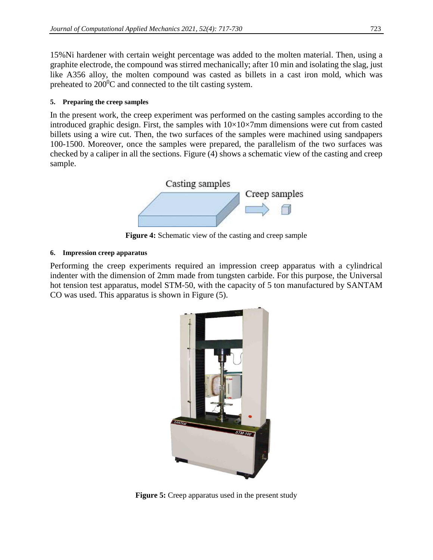15%Ni hardener with certain weight percentage was added to the molten material. Then, using a graphite electrode, the compound was stirred mechanically; after 10 min and isolating the slag, just like A356 alloy, the molten compound was casted as billets in a cast iron mold, which was preheated to  $200^{\circ}$ C and connected to the tilt casting system.

# **5. Preparing the creep samples**

In the present work, the creep experiment was performed on the casting samples according to the introduced graphic design. First, the samples with  $10\times10\times7$  mm dimensions were cut from casted billets using a wire cut. Then, the two surfaces of the samples were machined using sandpapers 100-1500. Moreover, once the samples were prepared, the parallelism of the two surfaces was checked by a caliper in all the sections. Figure (4) shows a schematic view of the casting and creep sample.



**Figure 4:** Schematic view of the casting and creep sample

# **6. Impression creep apparatus**

Performing the creep experiments required an impression creep apparatus with a cylindrical indenter with the dimension of 2mm made from tungsten carbide. For this purpose, the Universal hot tension test apparatus, model STM-50, with the capacity of 5 ton manufactured by SANTAM CO was used. This apparatus is shown in Figure (5).



**Figure 5:** Creep apparatus used in the present study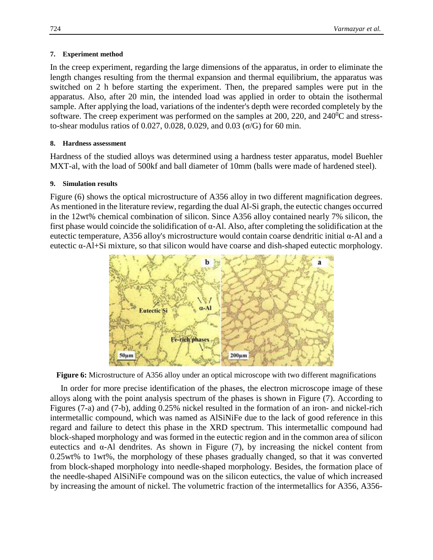### **7. Experiment method**

In the creep experiment, regarding the large dimensions of the apparatus, in order to eliminate the length changes resulting from the thermal expansion and thermal equilibrium, the apparatus was switched on 2 h before starting the experiment. Then, the prepared samples were put in the apparatus. Also, after 20 min, the intended load was applied in order to obtain the isothermal sample. After applying the load, variations of the indenter's depth were recorded completely by the software. The creep experiment was performed on the samples at 200, 220, and  $240^{\circ}$ C and stressto-shear modulus ratios of 0.027, 0.028, 0.029, and 0.03 (σ/G) for 60 min.

### **8. Hardness assessment**

Hardness of the studied alloys was determined using a hardness tester apparatus, model Buehler MXT-al, with the load of 500kf and ball diameter of 10mm (balls were made of hardened steel).

### **9. Simulation results**

Figure (6) shows the optical microstructure of A356 alloy in two different magnification degrees. As mentioned in the literature review, regarding the dual Al-Si graph, the eutectic changes occurred in the 12wt% chemical combination of silicon. Since A356 alloy contained nearly 7% silicon, the first phase would coincide the solidification of  $\alpha$ -Al. Also, after completing the solidification at the eutectic temperature, A356 alloy's microstructure would contain coarse dendritic initial α-Al and a eutectic α-Al+Si mixture, so that silicon would have coarse and dish-shaped eutectic morphology.



**Figure 6:** Microstructure of A356 alloy under an optical microscope with two different magnifications

In order for more precise identification of the phases, the electron microscope image of these alloys along with the point analysis spectrum of the phases is shown in Figure (7). According to Figures (7-a) and (7-b), adding 0.25% nickel resulted in the formation of an iron- and nickel-rich intermetallic compound, which was named as AlSiNiFe due to the lack of good reference in this regard and failure to detect this phase in the XRD spectrum. This intermetallic compound had block-shaped morphology and was formed in the eutectic region and in the common area of silicon eutectics and  $\alpha$ -Al dendrites. As shown in Figure (7), by increasing the nickel content from 0.25wt% to 1wt%, the morphology of these phases gradually changed, so that it was converted from block-shaped morphology into needle-shaped morphology. Besides, the formation place of the needle-shaped AlSiNiFe compound was on the silicon eutectics, the value of which increased by increasing the amount of nickel. The volumetric fraction of the intermetallics for A356, A356-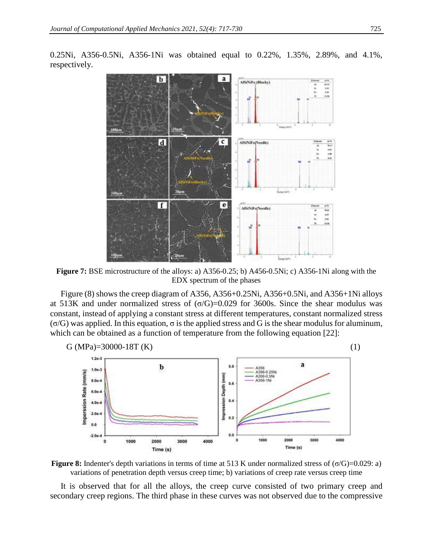

0.25Ni, A356-0.5Ni, A356-1Ni was obtained equal to 0.22%, 1.35%, 2.89%, and 4.1%, respectively.

**Figure 7:** BSE microstructure of the alloys: a) A356-0.25; b) A456-0.5Ni; c) A356-1Ni along with the EDX spectrum of the phases

Figure (8) shows the creep diagram of A356, A356+0.25Ni, A356+0.5Ni, and A356+1Ni alloys at 513K and under normalized stress of  $(σ/G)=0.029$  for 3600s. Since the shear modulus was constant, instead of applying a constant stress at different temperatures, constant normalized stress  $(\sigma/G)$  was applied. In this equation,  $\sigma$  is the applied stress and G is the shear modulus for aluminum, which can be obtained as a function of temperature from the following equation [22]:



**Figure 8:** Indenter's depth variations in terms of time at 513 K under normalized stress of ( $\sigma$ /G)=0.029: a) variations of penetration depth versus creep time; b) variations of creep rate versus creep time

It is observed that for all the alloys, the creep curve consisted of two primary creep and secondary creep regions. The third phase in these curves was not observed due to the compressive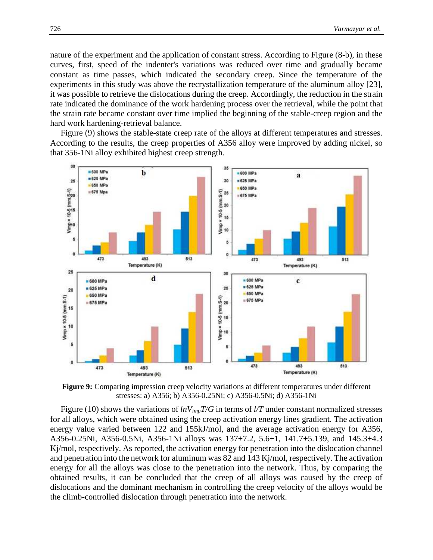nature of the experiment and the application of constant stress. According to Figure (8-b), in these curves, first, speed of the indenter's variations was reduced over time and gradually became constant as time passes, which indicated the secondary creep. Since the temperature of the experiments in this study was above the recrystallization temperature of the aluminum alloy [23], it was possible to retrieve the dislocations during the creep. Accordingly, the reduction in the strain rate indicated the dominance of the work hardening process over the retrieval, while the point that the strain rate became constant over time implied the beginning of the stable-creep region and the hard work hardening-retrieval balance.

Figure (9) shows the stable-state creep rate of the alloys at different temperatures and stresses. According to the results, the creep properties of A356 alloy were improved by adding nickel, so that 356-1Ni alloy exhibited highest creep strength.



**Figure 9:** Comparing impression creep velocity variations at different temperatures under different stresses: a) A356; b) A356-0.25Ni; c) A356-0.5Ni; d) A356-1Ni

Figure (10) shows the variations of *lnVimpT/G* in terms of *l/T* under constant normalized stresses for all alloys, which were obtained using the creep activation energy lines gradient. The activation energy value varied between 122 and 155kJ/mol, and the average activation energy for A356, A356-0.25Ni, A356-0.5Ni, A356-1Ni alloys was 137±7.2, 5.6±1, 141.7±5.139, and 145.3±4.3 Kj/mol, respectively. As reported, the activation energy for penetration into the dislocation channel and penetration into the network for aluminum was 82 and 143 Kj/mol, respectively. The activation energy for all the alloys was close to the penetration into the network. Thus, by comparing the obtained results, it can be concluded that the creep of all alloys was caused by the creep of dislocations and the dominant mechanism in controlling the creep velocity of the alloys would be the climb-controlled dislocation through penetration into the network.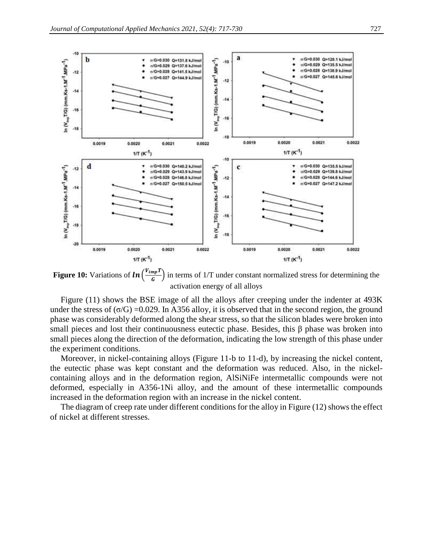

**Figure 10:** Variations of  $\ln\left(\frac{V_{imp}T}{G}\right)$  in terms of 1/T under constant normalized stress for determining the activation energy of all alloys

Figure (11) shows the BSE image of all the alloys after creeping under the indenter at 493K under the stress of  $(\sigma/G)$  =0.029. In A356 alloy, it is observed that in the second region, the ground phase was considerably deformed along the shear stress, so that the silicon blades were broken into small pieces and lost their continuousness eutectic phase. Besides, this β phase was broken into small pieces along the direction of the deformation, indicating the low strength of this phase under the experiment conditions.

Moreover, in nickel-containing alloys (Figure 11-b to 11-d), by increasing the nickel content, the eutectic phase was kept constant and the deformation was reduced. Also, in the nickelcontaining alloys and in the deformation region, AlSiNiFe intermetallic compounds were not deformed, especially in A356-1Ni alloy, and the amount of these intermetallic compounds increased in the deformation region with an increase in the nickel content.

The diagram of creep rate under different conditions for the alloy in Figure (12) shows the effect of nickel at different stresses.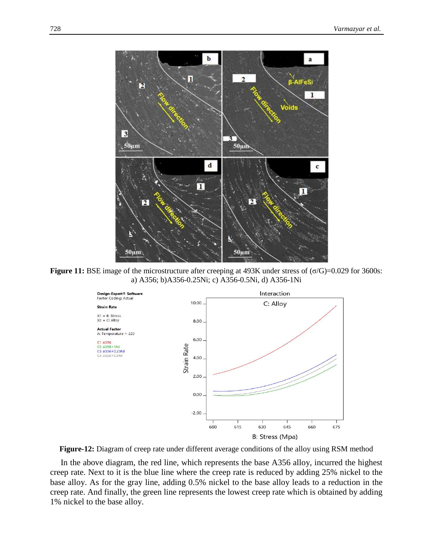

**Figure 11:** BSE image of the microstructure after creeping at 493K under stress of (σ/G)=0.029 for 3600s: a) A356; b)A356-0.25Ni; c) A356-0.5Ni, d) A356-1Ni



**Figure-12:** Diagram of creep rate under different average conditions of the alloy using RSM method

In the above diagram, the red line, which represents the base A356 alloy, incurred the highest creep rate. Next to it is the blue line where the creep rate is reduced by adding 25% nickel to the base alloy. As for the gray line, adding 0.5% nickel to the base alloy leads to a reduction in the creep rate. And finally, the green line represents the lowest creep rate which is obtained by adding 1% nickel to the base alloy.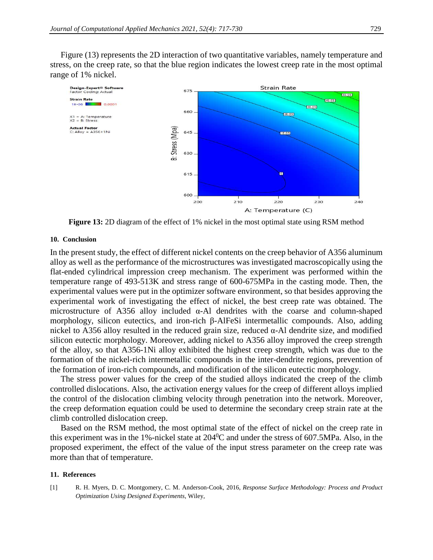Figure (13) represents the 2D interaction of two quantitative variables, namely temperature and stress, on the creep rate, so that the blue region indicates the lowest creep rate in the most optimal range of 1% nickel.



**Figure 13:** 2D diagram of the effect of 1% nickel in the most optimal state using RSM method

### **10. Conclusion**

In the present study, the effect of different nickel contents on the creep behavior of A356 aluminum alloy as well as the performance of the microstructures was investigated macroscopically using the flat-ended cylindrical impression creep mechanism. The experiment was performed within the temperature range of 493-513K and stress range of 600-675MPa in the casting mode. Then, the experimental values were put in the optimizer software environment, so that besides approving the experimental work of investigating the effect of nickel, the best creep rate was obtained. The microstructure of A356 alloy included α-Al dendrites with the coarse and column-shaped morphology, silicon eutectics, and iron-rich β-AlFeSi intermetallic compounds. Also, adding nickel to A356 alloy resulted in the reduced grain size, reduced  $\alpha$ -Al dendrite size, and modified silicon eutectic morphology. Moreover, adding nickel to A356 alloy improved the creep strength of the alloy, so that A356-1Ni alloy exhibited the highest creep strength, which was due to the formation of the nickel-rich intermetallic compounds in the inter-dendrite regions, prevention of the formation of iron-rich compounds, and modification of the silicon eutectic morphology.

The stress power values for the creep of the studied alloys indicated the creep of the climb controlled dislocations. Also, the activation energy values for the creep of different alloys implied the control of the dislocation climbing velocity through penetration into the network. Moreover, the creep deformation equation could be used to determine the secondary creep strain rate at the climb controlled dislocation creep.

Based on the RSM method, the most optimal state of the effect of nickel on the creep rate in this experiment was in the 1%-nickel state at  $204\text{°C}$  and under the stress of 607.5MPa. Also, in the proposed experiment, the effect of the value of the input stress parameter on the creep rate was more than that of temperature.

### **11. References**

[1] R. H. Myers, D. C. Montgomery, C. M. Anderson-Cook, 2016, *Response Surface Methodology: Process and Product Optimization Using Designed Experiments*, Wiley,